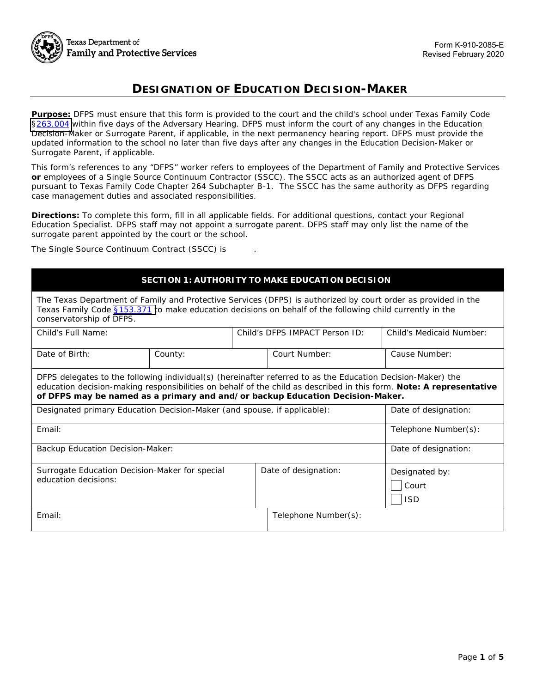

# **DESIGNATION OF EDUCATION DECISION-MAKER**

**Purpose:** DFPS must ensure that this form is provided to the court and the child's school under Texas Family Code [§263.004](https://statutes.capitol.texas.gov/Docs/FA/htm/FA.263.htm#263.004) within five days of the Adversary Hearing. DFPS must inform the court of any changes in the Education Decision-Maker or Surrogate Parent, if applicable, in the next permanency hearing report. DFPS must provide the updated information to the school no later than five days after any changes in the Education Decision-Maker or Surrogate Parent, if applicable.

*This form's references to any "DFPS" worker refers to employees of the Department of Family and Protective Services or employees of a Single Source Continuum Contractor (SSCC). The SSCC acts as an authorized agent of DFPS pursuant to Texas Family Code Chapter 264 Subchapter B-1. The SSCC has the same authority as DFPS regarding case management duties and associated responsibilities.* 

**Directions:** To complete this form, fill in all applicable fields. For additional questions, contact your Regional Education Specialist. DFPS staff may not appoint a surrogate parent. DFPS staff may only list the name of the surrogate parent appointed by the court or the school.

The Single Source Continuum Contract (SSCC) is ...

# **SECTION 1: AUTHORITY TO MAKE EDUCATION DECISION**

| The Texas Department of Family and Protective Services (DFPS) is authorized by court order as provided in the<br>Texas Family Code §153.371 to make education decisions on behalf of the following child currently in the<br>conservatorship of DFPS.                                                               |         |                                |                      |                          |  |
|---------------------------------------------------------------------------------------------------------------------------------------------------------------------------------------------------------------------------------------------------------------------------------------------------------------------|---------|--------------------------------|----------------------|--------------------------|--|
| Child's Full Name:                                                                                                                                                                                                                                                                                                  |         | Child's DFPS IMPACT Person ID: |                      | Child's Medicaid Number: |  |
| Date of Birth:                                                                                                                                                                                                                                                                                                      | County: |                                | Court Number:        | Cause Number:            |  |
| DFPS delegates to the following individual(s) (hereinafter referred to as the Education Decision-Maker) the<br>education decision-making responsibilities on behalf of the child as described in this form. Note: A representative<br>of DFPS may be named as a primary and and/or backup Education Decision-Maker. |         |                                |                      |                          |  |
| Designated primary Education Decision-Maker (and spouse, if applicable):                                                                                                                                                                                                                                            |         |                                |                      | Date of designation:     |  |
| Email:                                                                                                                                                                                                                                                                                                              |         |                                |                      | Telephone Number(s):     |  |
| Backup Education Decision-Maker:                                                                                                                                                                                                                                                                                    |         |                                |                      | Date of designation:     |  |
| Surrogate Education Decision-Maker for special<br>education decisions:                                                                                                                                                                                                                                              |         |                                | Date of designation: | Designated by:<br>Court  |  |

ISD Email: Telephone Number(s):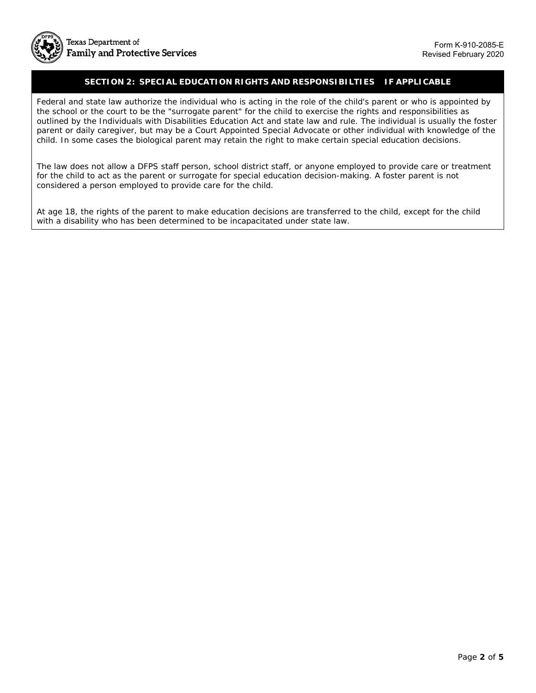

#### **– SECTION 2: SPECIAL EDUCATION RIGHTS AND RESPONSIBILTIES IF APPLICABLE**

 Federal and state law authorize the individual who is acting in the role of the child's parent or who is appointed by the school or the court to be the "surrogate parent" for the child to exercise the rights and responsibilities as outlined by the Individuals with Disabilities Education Act and state law and rule. The individual is usually the foster parent or daily caregiver, but may be a Court Appointed Special Advocate or other individual with knowledge of the child. In some cases the biological parent may retain the right to make certain special education decisions.

The law does not allow a DFPS staff person, school district staff, or anyone employed to provide care or treatment for the child to act as the parent or surrogate for special education decision-making. A foster parent is not considered a person employed to provide care for the child.

At age 18, the rights of the parent to make education decisions are transferred to the child, except for the child with a disability who has been determined to be incapacitated under state law.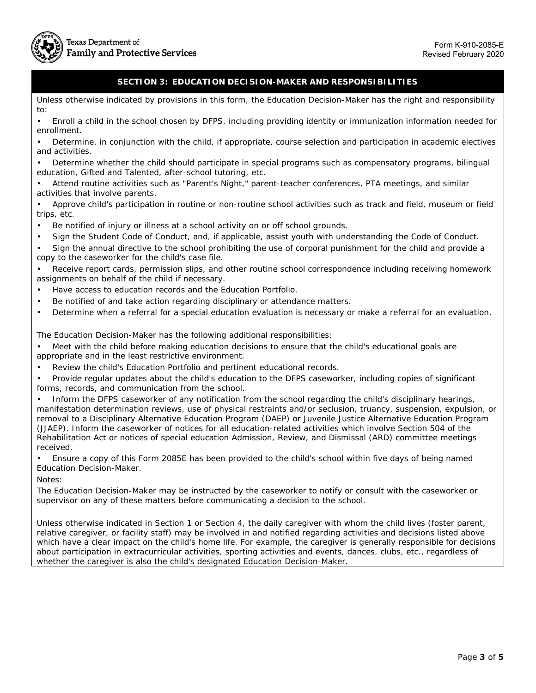

# **SECTION 3: EDUCATION DECISION-MAKER AND RESPONSIBILITIES**

 Unless otherwise indicated by provisions in this form, the Education Decision-Maker has the right and responsibility to:

• Enroll a child in the school chosen by DFPS, including providing identity or immunization information needed for enrollment.

• Determine, in conjunction with the child, if appropriate, course selection and participation in academic electives and activities.

• Determine whether the child should participate in special programs such as compensatory programs, bilingual education, Gifted and Talented, after-school tutoring, etc.

• Attend routine activities such as "Parent's Night," parent-teacher conferences, PTA meetings, and similar activities that involve parents.

• Approve child's participation in routine or non-routine school activities such as track and field, museum or field trips, etc.

- Be notified of injury or illness at a school activity on or off school grounds.
- Sign the Student Code of Conduct, and, if applicable, assist youth with understanding the Code of Conduct.

• Sign the annual directive to the school prohibiting the use of corporal punishment for the child and provide a copy to the caseworker for the child's case file.

• Receive report cards, permission slips, and other routine school correspondence including receiving homework assignments on behalf of the child if necessary.

- Have access to education records and the Education Portfolio.
- Be notified of and take action regarding disciplinary or attendance matters.
- Determine when a referral for a special education evaluation is necessary or make a referral for an evaluation.

The Education Decision-Maker has the following additional responsibilities:

• Meet with the child before making education decisions to ensure that the child's educational goals are appropriate and in the least restrictive environment.

- Review the child's Education Portfolio and pertinent educational records.
- Provide regular updates about the child's education to the DFPS caseworker, including copies of significant forms, records, and communication from the school.

• Inform the DFPS caseworker of any notification from the school regarding the child's disciplinary hearings, manifestation determination reviews, use of physical restraints and/or seclusion, truancy, suspension, expulsion, or removal to a Disciplinary Alternative Education Program (DAEP) or Juvenile Justice Alternative Education Program (JJAEP). Inform the caseworker of notices for all education-related activities which involve Section 504 of the Rehabilitation Act or notices of special education Admission, Review, and Dismissal (ARD) committee meetings received.

• Ensure a copy of this Form 2085E has been provided to the child's school within five days of being named Education Decision-Maker.

Notes:

The Education Decision-Maker may be instructed by the caseworker to notify or consult with the caseworker or supervisor on any of these matters before communicating a decision to the school.

Unless otherwise indicated in Section 1 or Section 4, the daily caregiver with whom the child lives (foster parent, relative caregiver, or facility staff) may be involved in and notified regarding activities and decisions listed above which have a clear impact on the child's home life. For example, the caregiver is generally responsible for decisions about participation in extracurricular activities, sporting activities and events, dances, clubs, etc., regardless of whether the caregiver is also the child's designated Education Decision-Maker.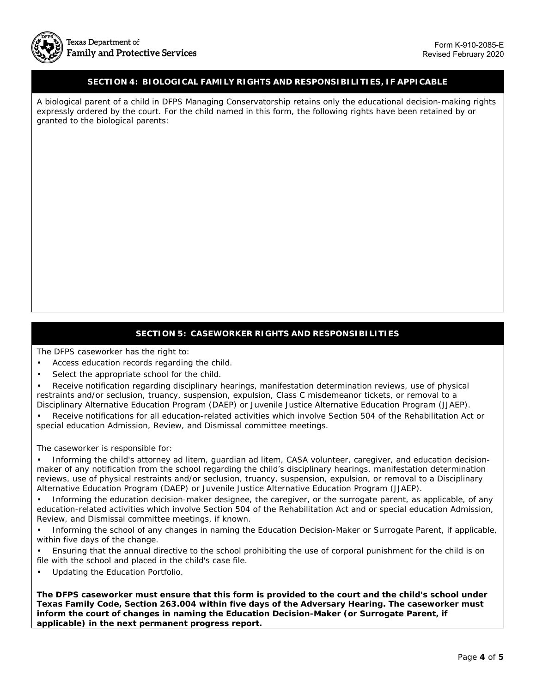#### **SECTION 4: BIOLOGICAL FAMILY RIGHTS AND RESPONSIBILITIES, IF APPICABLE**

A biological parent of a child in DFPS Managing Conservatorship retains only the educational decision-making rights expressly ordered by the court. For the child named in this form, the following rights have been retained by or granted to the biological parents:

# **SECTION 5: CASEWORKER RIGHTS AND RESPONSIBILITIES**

The DFPS caseworker has the right to:

- Access education records regarding the child.
- Select the appropriate school for the child.

• Receive notification regarding disciplinary hearings, manifestation determination reviews, use of physical restraints and/or seclusion, truancy, suspension, expulsion, Class C misdemeanor tickets, or removal to a Disciplinary Alternative Education Program (DAEP) or Juvenile Justice Alternative Education Program (JJAEP).

• Receive notifications for all education-related activities which involve Section 504 of the Rehabilitation Act or special education Admission, Review, and Dismissal committee meetings.

The caseworker is responsible for:

• Informing the child's attorney ad litem, guardian ad litem, CASA volunteer, caregiver, and education decisionmaker of any notification from the school regarding the child's disciplinary hearings, manifestation determination reviews, use of physical restraints and/or seclusion, truancy, suspension, expulsion, or removal to a Disciplinary Alternative Education Program (DAEP) or Juvenile Justice Alternative Education Program (JJAEP).

• Informing the education decision-maker designee, the caregiver, or the surrogate parent, as applicable, of any education-related activities which involve Section 504 of the Rehabilitation Act and or special education Admission, Review, and Dismissal committee meetings, if known.

• Informing the school of any changes in naming the Education Decision-Maker or Surrogate Parent, if applicable, within five days of the change.

• Ensuring that the annual directive to the school prohibiting the use of corporal punishment for the child is on file with the school and placed in the child's case file.

• Updating the Education Portfolio.

**The DFPS caseworker must ensure that this form is provided to the court and the child's school under Texas Family Code, Section 263.004 within five days of the Adversary Hearing. The caseworker must inform the court of changes in naming the Education Decision-Maker (or Surrogate Parent, if applicable) in the next permanent progress report.**